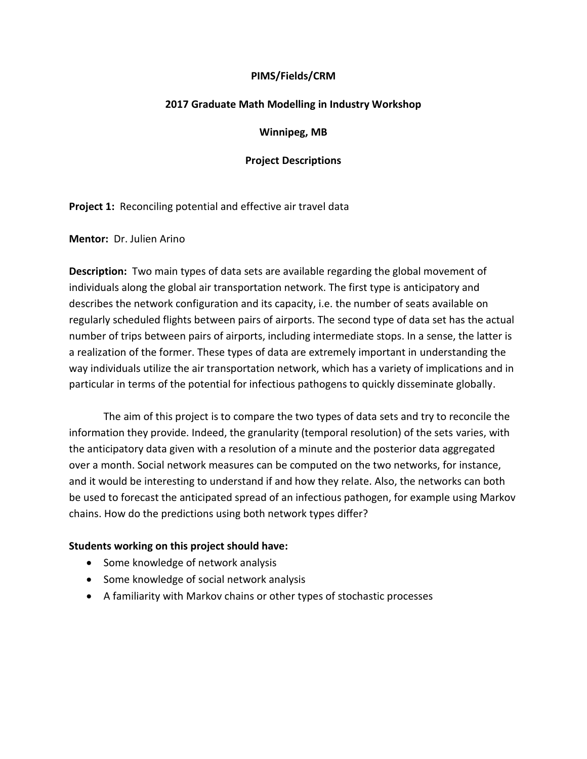## **PIMS/Fields/CRM**

### **2017 Graduate Math Modelling in Industry Workshop**

### **Winnipeg, MB**

## **Project Descriptions**

**Project 1:** Reconciling potential and effective air travel data

**Mentor:** Dr. Julien Arino

**Description:** Two main types of data sets are available regarding the global movement of individuals along the global air transportation network. The first type is anticipatory and describes the network configuration and its capacity, i.e. the number of seats available on regularly scheduled flights between pairs of airports. The second type of data set has the actual number of trips between pairs of airports, including intermediate stops. In a sense, the latter is a realization of the former. These types of data are extremely important in understanding the way individuals utilize the air transportation network, which has a variety of implications and in particular in terms of the potential for infectious pathogens to quickly disseminate globally.

The aim of this project is to compare the two types of data sets and try to reconcile the information they provide. Indeed, the granularity (temporal resolution) of the sets varies, with the anticipatory data given with a resolution of a minute and the posterior data aggregated over a month. Social network measures can be computed on the two networks, for instance, and it would be interesting to understand if and how they relate. Also, the networks can both be used to forecast the anticipated spread of an infectious pathogen, for example using Markov chains. How do the predictions using both network types differ?

- Some knowledge of network analysis
- Some knowledge of social network analysis
- A familiarity with Markov chains or other types of stochastic processes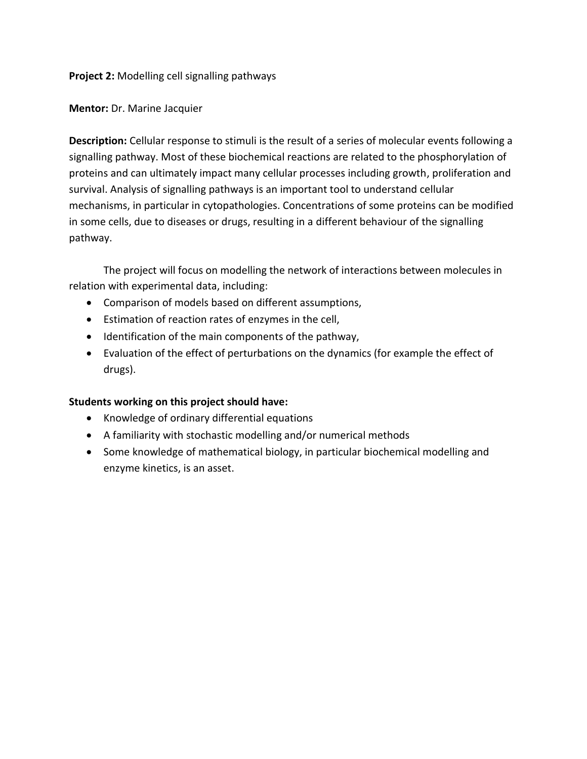**Project 2:** Modelling cell signalling pathways

**Mentor:** Dr. Marine Jacquier

**Description:** Cellular response to stimuli is the result of a series of molecular events following a signalling pathway. Most of these biochemical reactions are related to the phosphorylation of proteins and can ultimately impact many cellular processes including growth, proliferation and survival. Analysis of signalling pathways is an important tool to understand cellular mechanisms, in particular in cytopathologies. Concentrations of some proteins can be modified in some cells, due to diseases or drugs, resulting in a different behaviour of the signalling pathway.

The project will focus on modelling the network of interactions between molecules in relation with experimental data, including:

- Comparison of models based on different assumptions,
- Estimation of reaction rates of enzymes in the cell,
- Identification of the main components of the pathway,
- Evaluation of the effect of perturbations on the dynamics (for example the effect of drugs).

- Knowledge of ordinary differential equations
- A familiarity with stochastic modelling and/or numerical methods
- Some knowledge of mathematical biology, in particular biochemical modelling and enzyme kinetics, is an asset.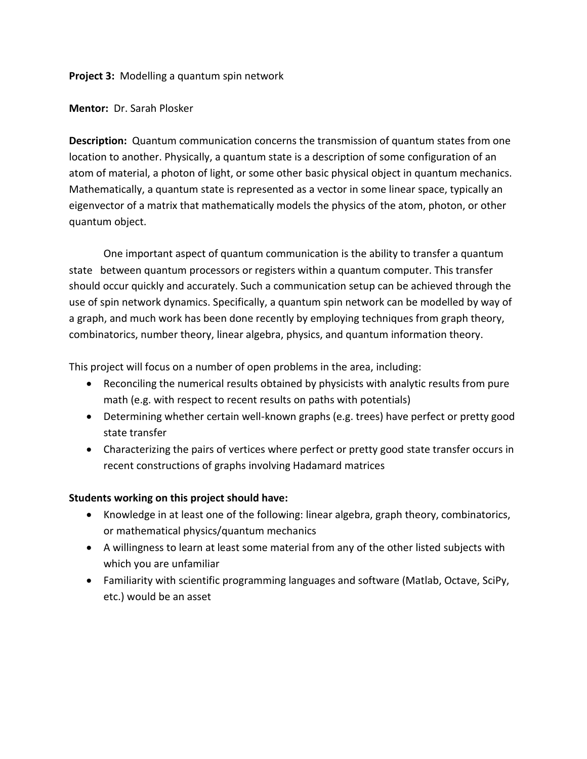**Project 3:** Modelling a quantum spin network

**Mentor:** Dr. Sarah Plosker

**Description:** Quantum communication concerns the transmission of quantum states from one location to another. Physically, a quantum state is a description of some configuration of an atom of material, a photon of light, or some other basic physical object in quantum mechanics. Mathematically, a quantum state is represented as a vector in some linear space, typically an eigenvector of a matrix that mathematically models the physics of the atom, photon, or other quantum object.

One important aspect of quantum communication is the ability to transfer a quantum state between quantum processors or registers within a quantum computer. This transfer should occur quickly and accurately. Such a communication setup can be achieved through the use of spin network dynamics. Specifically, a quantum spin network can be modelled by way of a graph, and much work has been done recently by employing techniques from graph theory, combinatorics, number theory, linear algebra, physics, and quantum information theory.

This project will focus on a number of open problems in the area, including:

- Reconciling the numerical results obtained by physicists with analytic results from pure math (e.g. with respect to recent results on paths with potentials)
- Determining whether certain well-known graphs (e.g. trees) have perfect or pretty good state transfer
- Characterizing the pairs of vertices where perfect or pretty good state transfer occurs in recent constructions of graphs involving Hadamard matrices

- Knowledge in at least one of the following: linear algebra, graph theory, combinatorics, or mathematical physics/quantum mechanics
- A willingness to learn at least some material from any of the other listed subjects with which you are unfamiliar
- Familiarity with scientific programming languages and software (Matlab, Octave, SciPy, etc.) would be an asset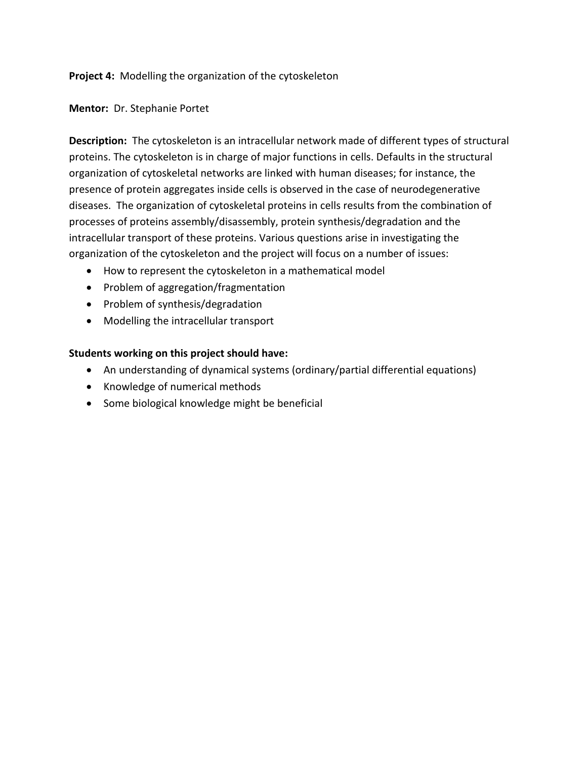**Project 4:** Modelling the organization of the cytoskeleton

**Mentor:** Dr. Stephanie Portet

**Description:** The cytoskeleton is an intracellular network made of different types of structural proteins. The cytoskeleton is in charge of major functions in cells. Defaults in the structural organization of cytoskeletal networks are linked with human diseases; for instance, the presence of protein aggregates inside cells is observed in the case of neurodegenerative diseases. The organization of cytoskeletal proteins in cells results from the combination of processes of proteins assembly/disassembly, protein synthesis/degradation and the intracellular transport of these proteins. Various questions arise in investigating the organization of the cytoskeleton and the project will focus on a number of issues:

- How to represent the cytoskeleton in a mathematical model
- Problem of aggregation/fragmentation
- Problem of synthesis/degradation
- Modelling the intracellular transport

- An understanding of dynamical systems (ordinary/partial differential equations)
- Knowledge of numerical methods
- Some biological knowledge might be beneficial